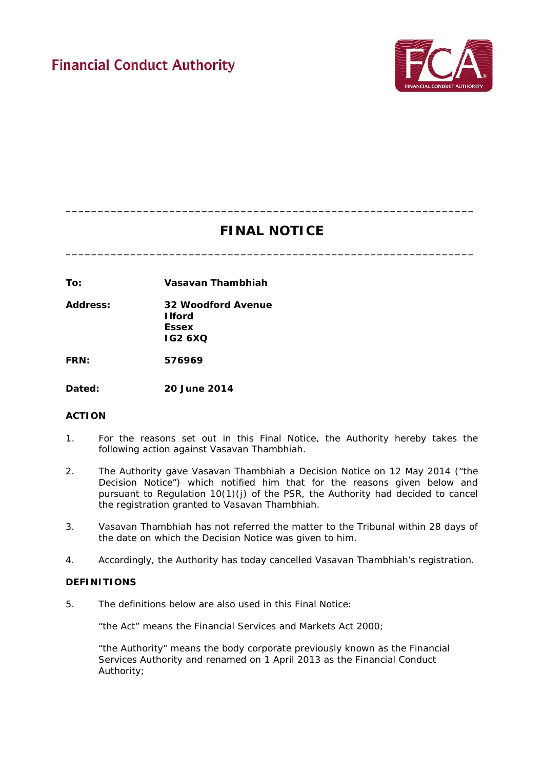

# **FINAL NOTICE**

**\_\_\_\_\_\_\_\_\_\_\_\_\_\_\_\_\_\_\_\_\_\_\_\_\_\_\_\_\_\_\_\_\_\_\_\_\_\_\_\_\_\_\_\_\_\_\_\_\_\_\_\_\_\_\_\_\_\_\_\_\_\_\_**

**\_\_\_\_\_\_\_\_\_\_\_\_\_\_\_\_\_\_\_\_\_\_\_\_\_\_\_\_\_\_\_\_\_\_\_\_\_\_\_\_\_\_\_\_\_\_\_\_\_\_\_\_\_\_\_\_\_\_\_\_\_\_\_**

**To: Vasavan Thambhiah**

**Address: 32 Woodford Avenue Ilford Essex IG2 6XQ**

**FRN: 576969**

**Dated: 20 June 2014**

# **ACTION**

- 1. For the reasons set out in this Final Notice, the Authority hereby takes the following action against Vasavan Thambhiah.
- 2. The Authority gave Vasavan Thambhiah a Decision Notice on 12 May 2014 ("the Decision Notice") which notified him that for the reasons given below and pursuant to Regulation 10(1)(j) of the PSR, the Authority had decided to cancel the registration granted to Vasavan Thambhiah.
- 3. Vasavan Thambhiah has not referred the matter to the Tribunal within 28 days of the date on which the Decision Notice was given to him.
- 4. Accordingly, the Authority has today cancelled Vasavan Thambhiah's registration.

### **DEFINITIONS**

5. The definitions below are also used in this Final Notice:

"the Act" means the Financial Services and Markets Act 2000;

"the Authority" means the body corporate previously known as the Financial Services Authority and renamed on 1 April 2013 as the Financial Conduct Authority;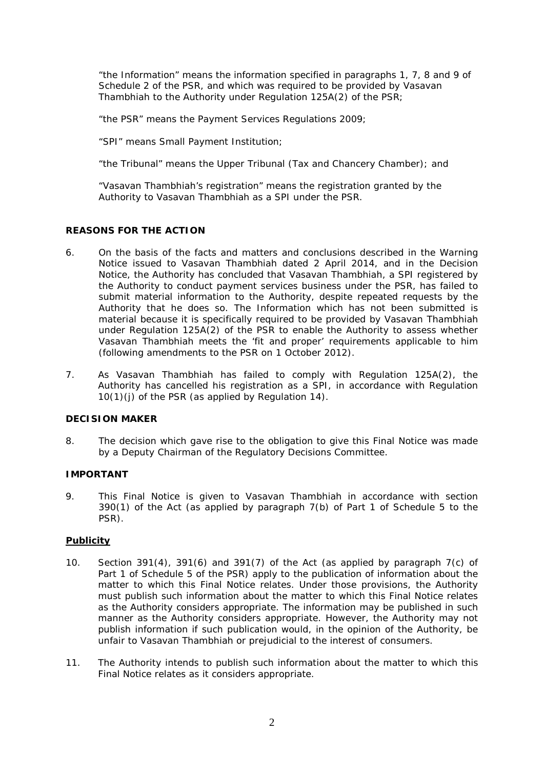"the Information" means the information specified in paragraphs 1, 7, 8 and 9 of Schedule 2 of the PSR, and which was required to be provided by Vasavan Thambhiah to the Authority under Regulation 125A(2) of the PSR;

"the PSR" means the Payment Services Regulations 2009;

"SPI" means Small Payment Institution;

"the Tribunal" means the Upper Tribunal (Tax and Chancery Chamber); and

"Vasavan Thambhiah's registration" means the registration granted by the Authority to Vasavan Thambhiah as a SPI under the PSR.

## **REASONS FOR THE ACTION**

- 6. On the basis of the facts and matters and conclusions described in the Warning Notice issued to Vasavan Thambhiah dated 2 April 2014, and in the Decision Notice, the Authority has concluded that Vasavan Thambhiah, a SPI registered by the Authority to conduct payment services business under the PSR, has failed to submit material information to the Authority, despite repeated requests by the Authority that he does so. The Information which has not been submitted is material because it is specifically required to be provided by Vasavan Thambhiah under Regulation 125A(2) of the PSR to enable the Authority to assess whether Vasavan Thambhiah meets the 'fit and proper' requirements applicable to him (following amendments to the PSR on 1 October 2012).
- 7. As Vasavan Thambhiah has failed to comply with Regulation 125A(2), the Authority has cancelled his registration as a SPI, in accordance with Regulation 10(1)(j) of the PSR (as applied by Regulation 14).

#### **DECISION MAKER**

8. The decision which gave rise to the obligation to give this Final Notice was made by a Deputy Chairman of the Regulatory Decisions Committee.

#### **IMPORTANT**

9. This Final Notice is given to Vasavan Thambhiah in accordance with section 390(1) of the Act (as applied by paragraph 7(b) of Part 1 of Schedule 5 to the PSR).

### **Publicity**

- 10. Section 391(4), 391(6) and 391(7) of the Act (as applied by paragraph 7(c) of Part 1 of Schedule 5 of the PSR) apply to the publication of information about the matter to which this Final Notice relates. Under those provisions, the Authority must publish such information about the matter to which this Final Notice relates as the Authority considers appropriate. The information may be published in such manner as the Authority considers appropriate. However, the Authority may not publish information if such publication would, in the opinion of the Authority, be unfair to Vasavan Thambhiah or prejudicial to the interest of consumers.
- 11. The Authority intends to publish such information about the matter to which this Final Notice relates as it considers appropriate.